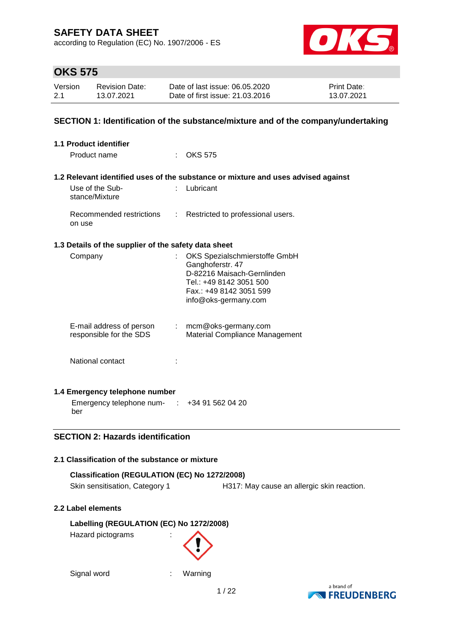according to Regulation (EC) No. 1907/2006 - ES



## **OKS 575**

| Version | <b>Revision Date:</b> | Date of last issue: 06.05.2020  | <b>Print Date:</b> |
|---------|-----------------------|---------------------------------|--------------------|
| 2.1     | 13.07.2021            | Date of first issue: 21,03,2016 | 13.07.2021         |

### **SECTION 1: Identification of the substance/mixture and of the company/undertaking**

| <b>1.1 Product identifier</b>                        |                             |                                                                                                                                                               |
|------------------------------------------------------|-----------------------------|---------------------------------------------------------------------------------------------------------------------------------------------------------------|
| Product name                                         |                             | $\therefore$ OKS 575                                                                                                                                          |
|                                                      |                             | 1.2 Relevant identified uses of the substance or mixture and uses advised against                                                                             |
| Use of the Sub-<br>stance/Mixture                    |                             | Lubricant                                                                                                                                                     |
| Recommended restrictions<br>on use                   | $\mathcal{L}$               | Restricted to professional users.                                                                                                                             |
| 1.3 Details of the supplier of the safety data sheet |                             |                                                                                                                                                               |
| Company                                              |                             | OKS Spezialschmierstoffe GmbH<br>Ganghoferstr. 47<br>D-82216 Maisach-Gernlinden<br>Tel.: +49 8142 3051 500<br>Fax.: +49 8142 3051 599<br>info@oks-germany.com |
| E-mail address of person<br>responsible for the SDS  | $\mathcal{D}^{\mathcal{A}}$ | mcm@oks-germany.com<br><b>Material Compliance Management</b>                                                                                                  |
| National contact                                     |                             |                                                                                                                                                               |
| 1.4 Emergency telephone number                       |                             |                                                                                                                                                               |
| Emergency telephone num- : +34 91 562 04 20<br>ber   |                             |                                                                                                                                                               |

### **SECTION 2: Hazards identification**

### **2.1 Classification of the substance or mixture**

### **Classification (REGULATION (EC) No 1272/2008)** Skin sensitisation, Category 1 H317: May cause an allergic skin reaction.

### **2.2 Label elements**

**Labelling (REGULATION (EC) No 1272/2008)** Hazard pictograms :

```
Signal word : Warning
```
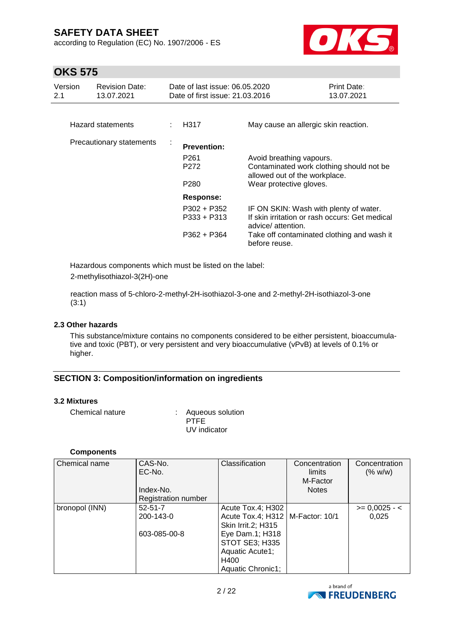according to Regulation (EC) No. 1907/2006 - ES



## **OKS 575**

| Version<br>2.1 | <b>Revision Date:</b><br>13.07.2021 |   | Date of last issue: 06.05.2020<br>Date of first issue: 21.03.2016              |                                                                                                                                                                              | <b>Print Date:</b><br>13.07.2021 |
|----------------|-------------------------------------|---|--------------------------------------------------------------------------------|------------------------------------------------------------------------------------------------------------------------------------------------------------------------------|----------------------------------|
|                | Hazard statements                   |   | H317                                                                           | May cause an allergic skin reaction.                                                                                                                                         |                                  |
|                | Precautionary statements            | t | <b>Prevention:</b><br>P <sub>261</sub><br>P <sub>272</sub><br>P <sub>280</sub> | Avoid breathing vapours.<br>Contaminated work clothing should not be<br>allowed out of the workplace.<br>Wear protective gloves.                                             |                                  |
|                |                                     |   | Response:<br>P302 + P352<br>$P333 + P313$<br>P362 + P364                       | IF ON SKIN: Wash with plenty of water.<br>If skin irritation or rash occurs: Get medical<br>advice/attention.<br>Take off contaminated clothing and wash it<br>before reuse. |                                  |

Hazardous components which must be listed on the label: 2-methylisothiazol-3(2H)-one

reaction mass of 5-chloro-2-methyl-2H-isothiazol-3-one and 2-methyl-2H-isothiazol-3-one (3:1)

#### **2.3 Other hazards**

This substance/mixture contains no components considered to be either persistent, bioaccumulative and toxic (PBT), or very persistent and very bioaccumulative (vPvB) at levels of 0.1% or higher.

### **SECTION 3: Composition/information on ingredients**

#### **3.2 Mixtures**

Chemical nature : Aqueous solution

PTFE UV indicator

#### **Components**

| Chemical name  | CAS-No.<br>EC-No.   | Classification                     | Concentration<br>limits | Concentration<br>(% w/w) |
|----------------|---------------------|------------------------------------|-------------------------|--------------------------|
|                |                     |                                    | M-Factor                |                          |
|                | Index-No.           |                                    | <b>Notes</b>            |                          |
|                | Registration number |                                    |                         |                          |
| bronopol (INN) | $52 - 51 - 7$       | Acute Tox.4; H302                  |                         | $>= 0,0025 - 1$          |
|                | 200-143-0           | Acute Tox.4; H312   M-Factor: 10/1 |                         | 0,025                    |
|                |                     | Skin Irrit.2; H315                 |                         |                          |
|                | 603-085-00-8        | Eye Dam.1; H318                    |                         |                          |
|                |                     | <b>STOT SE3; H335</b>              |                         |                          |
|                |                     | Aquatic Acute1;                    |                         |                          |
|                |                     | H400                               |                         |                          |
|                |                     | Aquatic Chronic1;                  |                         |                          |

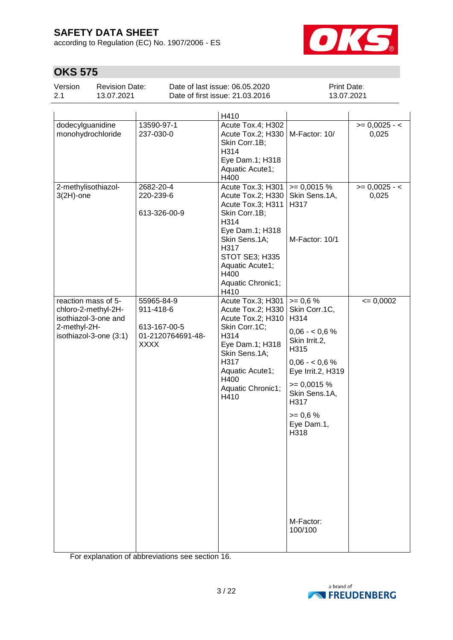according to Regulation (EC) No. 1907/2006 - ES



# **OKS 575**

| Version | <b>Revision Date:</b> | Date of last issue: 06.05.2020  | <b>Print Date:</b> |
|---------|-----------------------|---------------------------------|--------------------|
| 2.1     | 13.07.2021            | Date of first issue: 21,03,2016 | 13.07.2021         |

|                                                                                                              |                                                                             | H410                                                                                                                                                                                                       |                                                                                                                                                                                                                          |                          |
|--------------------------------------------------------------------------------------------------------------|-----------------------------------------------------------------------------|------------------------------------------------------------------------------------------------------------------------------------------------------------------------------------------------------------|--------------------------------------------------------------------------------------------------------------------------------------------------------------------------------------------------------------------------|--------------------------|
| dodecylguanidine<br>monohydrochloride                                                                        | 13590-97-1<br>237-030-0                                                     | Acute Tox.4; H302<br>Acute Tox.2; H330<br>Skin Corr.1B;<br>H314<br>Eye Dam.1; H318<br>Aquatic Acute1;<br>H400                                                                                              | M-Factor: 10/                                                                                                                                                                                                            | $>= 0,0025 - 5$<br>0,025 |
| 2-methylisothiazol-<br>$3(2H)$ -one                                                                          | 2682-20-4<br>220-239-6<br>613-326-00-9                                      | Acute Tox.3; H301<br>Acute Tox.2; H330<br>Acute Tox.3; H311<br>Skin Corr.1B;<br>H314<br>Eye Dam.1; H318<br>Skin Sens.1A;<br>H317<br>STOT SE3; H335<br>Aquatic Acute1;<br>H400<br>Aquatic Chronic1;<br>H410 | $= 0,0015%$<br>Skin Sens.1A,<br>H317<br>M-Factor: 10/1                                                                                                                                                                   | $>= 0,0025 - 5$<br>0,025 |
| reaction mass of 5-<br>chloro-2-methyl-2H-<br>isothiazol-3-one and<br>2-methyl-2H-<br>isothiazol-3-one (3:1) | 55965-84-9<br>911-418-6<br>613-167-00-5<br>01-2120764691-48-<br><b>XXXX</b> | Acute Tox.3; H301<br>Acute Tox.2; H330<br>Acute Tox.2; H310<br>Skin Corr.1C;<br>H314<br>Eye Dam.1; H318<br>Skin Sens.1A;<br>H317<br>Aquatic Acute1;<br>H400<br>Aquatic Chronic1;<br>H410                   | $>= 0.6 %$<br>Skin Corr.1C,<br>H314<br>$0,06 - 0,6%$<br>Skin Irrit.2,<br>H315<br>$0,06 - 0,6%$<br>Eye Irrit.2, H319<br>$= 0,0015 %$<br>Skin Sens.1A,<br>H317<br>$>= 0.6 %$<br>Eye Dam.1,<br>H318<br>M-Factor:<br>100/100 | $= 0,0002$               |

For explanation of abbreviations see section 16.

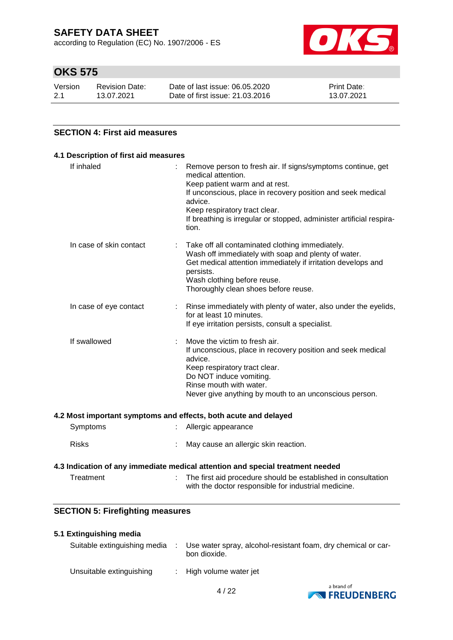according to Regulation (EC) No. 1907/2006 - ES



## **OKS 575**

| Version | <b>Revision Date:</b> | Date of last issue: 06.05.2020  | <b>Print Date:</b> |
|---------|-----------------------|---------------------------------|--------------------|
| 2.1     | 13.07.2021            | Date of first issue: 21.03.2016 | 13.07.2021         |

### **SECTION 4: First aid measures**

| If inhaled              |   | Remove person to fresh air. If signs/symptoms continue, get                                                                                                                                                                                                |
|-------------------------|---|------------------------------------------------------------------------------------------------------------------------------------------------------------------------------------------------------------------------------------------------------------|
|                         |   | medical attention.<br>Keep patient warm and at rest.                                                                                                                                                                                                       |
|                         |   | If unconscious, place in recovery position and seek medical<br>advice.                                                                                                                                                                                     |
|                         |   | Keep respiratory tract clear.<br>If breathing is irregular or stopped, administer artificial respira-<br>tion.                                                                                                                                             |
| In case of skin contact | ÷ | Take off all contaminated clothing immediately.<br>Wash off immediately with soap and plenty of water.<br>Get medical attention immediately if irritation develops and<br>persists.<br>Wash clothing before reuse.<br>Thoroughly clean shoes before reuse. |
| In case of eye contact  |   | Rinse immediately with plenty of water, also under the eyelids,<br>for at least 10 minutes.<br>If eye irritation persists, consult a specialist.                                                                                                           |
| If swallowed            |   | Move the victim to fresh air.<br>If unconscious, place in recovery position and seek medical<br>advice.<br>Keep respiratory tract clear.<br>Do NOT induce vomiting.<br>Rinse mouth with water.<br>Never give anything by mouth to an unconscious person.   |

#### **4.2 Most important symptoms and effects, both acute and delayed**

| Symptoms     | Allergic appearance                    |
|--------------|----------------------------------------|
| <b>Risks</b> | : May cause an allergic skin reaction. |

#### **4.3 Indication of any immediate medical attention and special treatment needed**

| Treatment | The first aid procedure should be established in consultation |
|-----------|---------------------------------------------------------------|
|           | with the doctor responsible for industrial medicine.          |

### **SECTION 5: Firefighting measures**

#### **5.1 Extinguishing media**

| Suitable extinguishing media | ÷ | Use water spray, alcohol-resistant foam, dry chemical or car-<br>bon dioxide. |
|------------------------------|---|-------------------------------------------------------------------------------|
| Unsuitable extinguishing     |   | : High volume water jet                                                       |

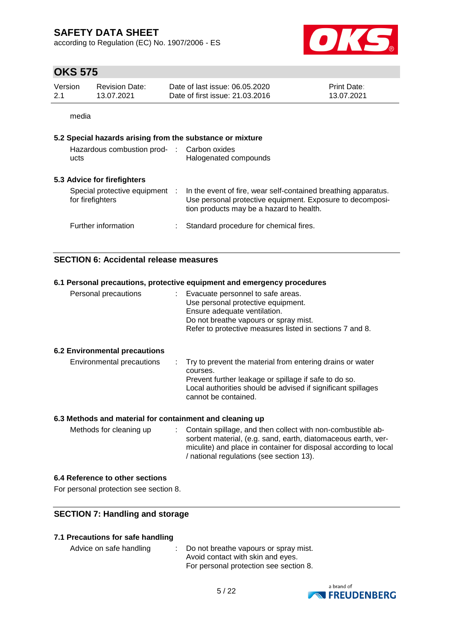according to Regulation (EC) No. 1907/2006 - ES



## **OKS 575**

| Version | Revision Date: | Date of last issue: 06.05.2020  | <b>Print Date:</b> |
|---------|----------------|---------------------------------|--------------------|
| 2.1     | 13.07.2021     | Date of first issue: 21,03,2016 | 13.07.2021         |

media

#### **5.2 Special hazards arising from the substance or mixture**

| Hazardous combustion prod-<br>ucts                 | : Carbon oxides<br>Halogenated compounds                                                                                                                                |
|----------------------------------------------------|-------------------------------------------------------------------------------------------------------------------------------------------------------------------------|
| 5.3 Advice for firefighters                        |                                                                                                                                                                         |
| Special protective equipment :<br>for firefighters | In the event of fire, wear self-contained breathing apparatus.<br>Use personal protective equipment. Exposure to decomposi-<br>tion products may be a hazard to health. |
| Further information                                | Standard procedure for chemical fires.                                                                                                                                  |

#### **SECTION 6: Accidental release measures**

## **6.1 Personal precautions, protective equipment and emergency procedures** Personal precautions : Evacuate personnel to safe areas. Use personal protective equipment. Ensure adequate ventilation. Do not breathe vapours or spray mist. Refer to protective measures listed in sections 7 and 8. **6.2 Environmental precautions** Environmental precautions : Try to prevent the material from entering drains or water courses.

| Elivilohineniai piečautions. | . Try to prevent the material from entering drams of water<br>courses.<br>Prevent further leakage or spillage if safe to do so.<br>Local authorities should be advised if significant spillages<br>cannot be contained. |
|------------------------------|-------------------------------------------------------------------------------------------------------------------------------------------------------------------------------------------------------------------------|
|                              |                                                                                                                                                                                                                         |

#### **6.3 Methods and material for containment and cleaning up**

Methods for cleaning up : Contain spillage, and then collect with non-combustible absorbent material, (e.g. sand, earth, diatomaceous earth, vermiculite) and place in container for disposal according to local / national regulations (see section 13).

#### **6.4 Reference to other sections**

For personal protection see section 8.

#### **SECTION 7: Handling and storage**

#### **7.1 Precautions for safe handling**

| Advice on safe handling | : Do not breathe vapours or spray mist. |
|-------------------------|-----------------------------------------|
|                         | Avoid contact with skin and eyes.       |
|                         | For personal protection see section 8.  |

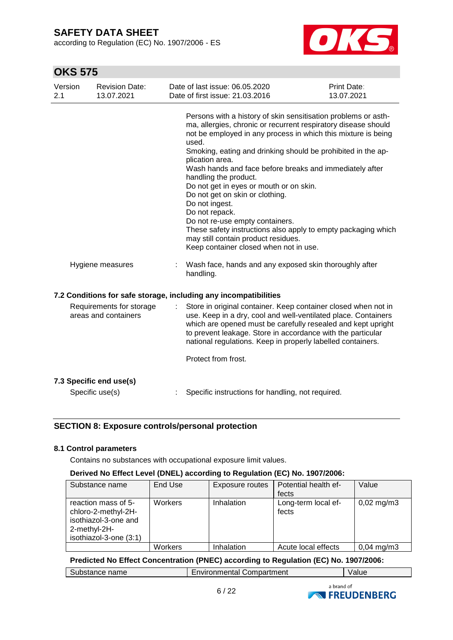according to Regulation (EC) No. 1907/2006 - ES



## **OKS 575**

| Version<br>2.1 | <b>Revision Date:</b><br>13.07.2021              | Date of last issue: 06.05.2020<br>Date of first issue: 21.03.2016                                                                                                                                                                                                                                                                                                                                                                                                                                                                                                                                                                                                                        | Print Date:<br>13.07.2021 |
|----------------|--------------------------------------------------|------------------------------------------------------------------------------------------------------------------------------------------------------------------------------------------------------------------------------------------------------------------------------------------------------------------------------------------------------------------------------------------------------------------------------------------------------------------------------------------------------------------------------------------------------------------------------------------------------------------------------------------------------------------------------------------|---------------------------|
|                |                                                  | Persons with a history of skin sensitisation problems or asth-<br>ma, allergies, chronic or recurrent respiratory disease should<br>not be employed in any process in which this mixture is being<br>used.<br>Smoking, eating and drinking should be prohibited in the ap-<br>plication area.<br>Wash hands and face before breaks and immediately after<br>handling the product.<br>Do not get in eyes or mouth or on skin.<br>Do not get on skin or clothing.<br>Do not ingest.<br>Do not repack.<br>Do not re-use empty containers.<br>These safety instructions also apply to empty packaging which<br>may still contain product residues.<br>Keep container closed when not in use. |                           |
|                | Hygiene measures                                 | Wash face, hands and any exposed skin thoroughly after<br>handling.                                                                                                                                                                                                                                                                                                                                                                                                                                                                                                                                                                                                                      |                           |
|                |                                                  | 7.2 Conditions for safe storage, including any incompatibilities                                                                                                                                                                                                                                                                                                                                                                                                                                                                                                                                                                                                                         |                           |
|                | Requirements for storage<br>areas and containers | Store in original container. Keep container closed when not in<br>use. Keep in a dry, cool and well-ventilated place. Containers<br>which are opened must be carefully resealed and kept upright<br>to prevent leakage. Store in accordance with the particular<br>national regulations. Keep in properly labelled containers.<br>Protect from frost.                                                                                                                                                                                                                                                                                                                                    |                           |
|                | 7.3 Specific end use(s)                          |                                                                                                                                                                                                                                                                                                                                                                                                                                                                                                                                                                                                                                                                                          |                           |
|                | Specific use(s)                                  | Specific instructions for handling, not required.                                                                                                                                                                                                                                                                                                                                                                                                                                                                                                                                                                                                                                        |                           |

### **SECTION 8: Exposure controls/personal protection**

### **8.1 Control parameters**

Contains no substances with occupational exposure limit values.

### **Derived No Effect Level (DNEL) according to Regulation (EC) No. 1907/2006:**

| Substance name                                                                                               | End Use | Exposure routes | Potential health ef-<br>fects | Value                 |
|--------------------------------------------------------------------------------------------------------------|---------|-----------------|-------------------------------|-----------------------|
| reaction mass of 5-<br>chloro-2-methyl-2H-<br>isothiazol-3-one and<br>2-methyl-2H-<br>isothiazol-3-one (3:1) | Workers | Inhalation      | Long-term local ef-<br>fects  | $0,02 \text{ mg/m}$ 3 |
|                                                                                                              | Workers | Inhalation      | Acute local effects           | $0,04 \text{ mg/m}$ 3 |

#### **Predicted No Effect Concentration (PNEC) according to Regulation (EC) No. 1907/2006:**

|  | Substance name | <b>Environmental Compartment</b> | Value |
|--|----------------|----------------------------------|-------|
|--|----------------|----------------------------------|-------|

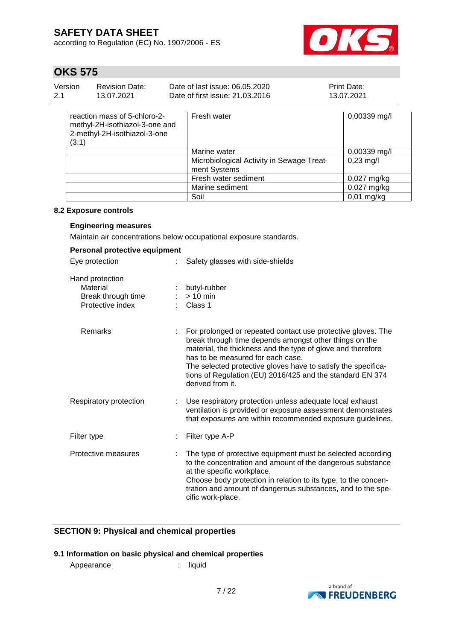according to Regulation (EC) No. 1907/2006 - ES



# **OKS 575**

| Version<br>2.1 | <b>Revision Date:</b><br>13.07.2021                                                            | Date of last issue: 06.05.2020<br>Date of first issue: 21.03.2016 |                                                           | <b>Print Date:</b><br>13.07.2021 |  |
|----------------|------------------------------------------------------------------------------------------------|-------------------------------------------------------------------|-----------------------------------------------------------|----------------------------------|--|
| (3:1)          | reaction mass of 5-chloro-2-<br>methyl-2H-isothiazol-3-one and<br>2-methyl-2H-isothiazol-3-one |                                                                   | Fresh water                                               | 0,00339 mg/l                     |  |
|                |                                                                                                |                                                                   | Marine water                                              | 0,00339 mg/l                     |  |
|                |                                                                                                |                                                                   | Microbiological Activity in Sewage Treat-<br>ment Systems | $0,23 \text{ mg/l}$              |  |
|                |                                                                                                |                                                                   | Fresh water sediment                                      | $0.027$ mg/kg                    |  |
|                |                                                                                                |                                                                   | Marine sediment                                           | $0,027$ mg/kg                    |  |
|                |                                                                                                |                                                                   | Soil                                                      | $0,01$ mg/kg                     |  |

#### **8.2 Exposure controls**

### **Engineering measures**

Maintain air concentrations below occupational exposure standards.

| Personal protective equipment                                         |                                                                                                                                                                                                                                                                                                                                                                              |
|-----------------------------------------------------------------------|------------------------------------------------------------------------------------------------------------------------------------------------------------------------------------------------------------------------------------------------------------------------------------------------------------------------------------------------------------------------------|
| Eye protection<br>÷.                                                  | Safety glasses with side-shields                                                                                                                                                                                                                                                                                                                                             |
| Hand protection<br>Material<br>Break through time<br>Protective index | butyl-rubber<br>$> 10$ min<br>Class 1                                                                                                                                                                                                                                                                                                                                        |
| <b>Remarks</b>                                                        | For prolonged or repeated contact use protective gloves. The<br>break through time depends amongst other things on the<br>material, the thickness and the type of glove and therefore<br>has to be measured for each case.<br>The selected protective gloves have to satisfy the specifica-<br>tions of Regulation (EU) 2016/425 and the standard EN 374<br>derived from it. |
| Respiratory protection<br>t.                                          | Use respiratory protection unless adequate local exhaust<br>ventilation is provided or exposure assessment demonstrates<br>that exposures are within recommended exposure guidelines.                                                                                                                                                                                        |
| Filter type                                                           | Filter type A-P                                                                                                                                                                                                                                                                                                                                                              |
| Protective measures                                                   | The type of protective equipment must be selected according<br>to the concentration and amount of the dangerous substance<br>at the specific workplace.<br>Choose body protection in relation to its type, to the concen-<br>tration and amount of dangerous substances, and to the spe-<br>cific work-place.                                                                |

### **SECTION 9: Physical and chemical properties**

### **9.1 Information on basic physical and chemical properties**

Appearance : liquid

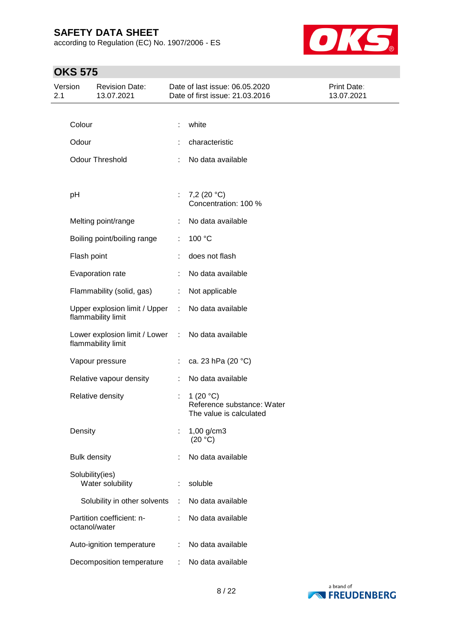according to Regulation (EC) No. 1907/2006 - ES



# **OKS 575**

| Version<br>2.1 |                     | <b>Revision Date:</b><br>13.07.2021                 |                      | Date of last issue: 06.05.2020<br>Date of first issue: 21.03.2016    | Print Date:<br>13.07.2021 |
|----------------|---------------------|-----------------------------------------------------|----------------------|----------------------------------------------------------------------|---------------------------|
|                |                     |                                                     |                      |                                                                      |                           |
|                | Colour              |                                                     |                      | white                                                                |                           |
|                | Odour               |                                                     |                      | characteristic                                                       |                           |
|                |                     | <b>Odour Threshold</b>                              |                      | No data available                                                    |                           |
|                |                     |                                                     |                      |                                                                      |                           |
|                | pH                  |                                                     | $\ddot{\phantom{a}}$ | 7,2 (20 °C)<br>Concentration: 100 %                                  |                           |
|                |                     | Melting point/range                                 |                      | No data available                                                    |                           |
|                |                     | Boiling point/boiling range                         | ÷                    | 100 °C                                                               |                           |
|                | Flash point         |                                                     |                      | does not flash                                                       |                           |
|                |                     | Evaporation rate                                    |                      | No data available                                                    |                           |
|                |                     | Flammability (solid, gas)                           | ÷.                   | Not applicable                                                       |                           |
|                |                     | Upper explosion limit / Upper<br>flammability limit | ÷.                   | No data available                                                    |                           |
|                |                     | Lower explosion limit / Lower<br>flammability limit | ÷                    | No data available                                                    |                           |
|                |                     | Vapour pressure                                     |                      | ca. 23 hPa (20 °C)                                                   |                           |
|                |                     | Relative vapour density                             |                      | No data available                                                    |                           |
|                |                     | Relative density                                    | ÷.                   | 1 $(20 °C)$<br>Reference substance: Water<br>The value is calculated |                           |
|                | Density             |                                                     |                      | $1,00$ g/cm3<br>(20 °C)                                              |                           |
|                | <b>Bulk density</b> |                                                     |                      | No data available                                                    |                           |
|                | Solubility(ies)     | Water solubility                                    |                      | soluble                                                              |                           |
|                |                     | Solubility in other solvents                        | ÷                    | No data available                                                    |                           |
|                | octanol/water       | Partition coefficient: n-                           |                      | No data available                                                    |                           |
|                |                     | Auto-ignition temperature                           |                      | No data available                                                    |                           |
|                |                     | Decomposition temperature                           |                      | No data available                                                    |                           |

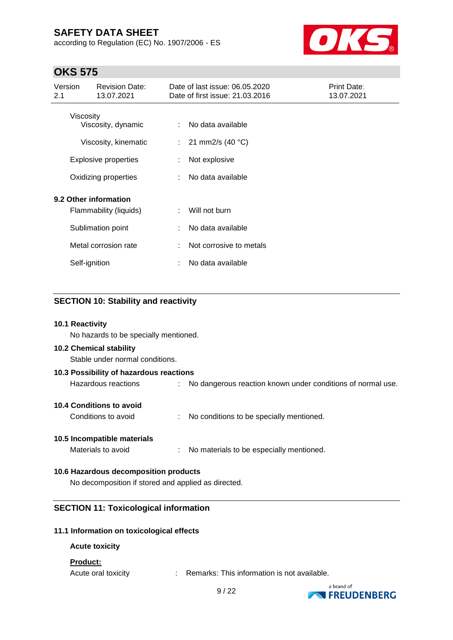according to Regulation (EC) No. 1907/2006 - ES



## **OKS 575**

| Version<br>2.1                                  | <b>Revision Date:</b><br>13.07.2021                                       |    | Date of last issue: 06.05.2020<br>Date of first issue: 21.03.2016 | Print Date:<br>13.07.2021 |
|-------------------------------------------------|---------------------------------------------------------------------------|----|-------------------------------------------------------------------|---------------------------|
| Viscosity                                       | Viscosity, dynamic<br>Viscosity, kinematic<br><b>Explosive properties</b> | ÷. | No data available<br>21 mm2/s $(40 °C)$<br>Not explosive          |                           |
|                                                 | Oxidizing properties                                                      |    | No data available                                                 |                           |
| 9.2 Other information<br>Flammability (liquids) |                                                                           | ÷  | Will not burn                                                     |                           |
|                                                 | Sublimation point                                                         |    | No data available                                                 |                           |
|                                                 | Metal corrosion rate                                                      |    | Not corrosive to metals                                           |                           |
| Self-ignition                                   |                                                                           |    | No data available                                                 |                           |

### **SECTION 10: Stability and reactivity**

#### **10.1 Reactivity**

No hazards to be specially mentioned.

#### **10.2 Chemical stability**

Stable under normal conditions.

| 10.3 Possibility of hazardous reactions |                                                               |  |  |  |  |  |  |
|-----------------------------------------|---------------------------------------------------------------|--|--|--|--|--|--|
| Hazardous reactions                     | : No dangerous reaction known under conditions of normal use. |  |  |  |  |  |  |
| <b>10.4 Conditions to avoid</b>         |                                                               |  |  |  |  |  |  |

# **10.5 Incompatible materials**

Materials to avoid : No materials to be especially mentioned.

Conditions to avoid : No conditions to be specially mentioned.

#### **10.6 Hazardous decomposition products**

No decomposition if stored and applied as directed.

#### **SECTION 11: Toxicological information**

#### **11.1 Information on toxicological effects**

#### **Acute toxicity**

#### **Product:**

Acute oral toxicity : Remarks: This information is not available.

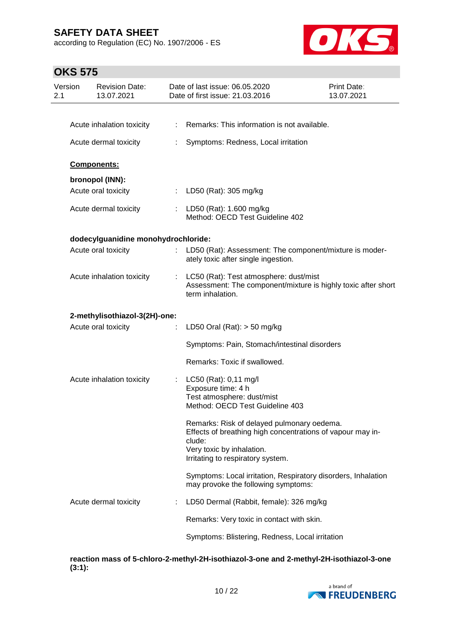according to Regulation (EC) No. 1907/2006 - ES



# **OKS 575**

| Version<br>2.1 | <b>Revision Date:</b><br>13.07.2021 |    | Date of last issue: 06.05.2020<br>Date of first issue: 21.03.2016                                                                                                                    | Print Date:<br>13.07.2021 |
|----------------|-------------------------------------|----|--------------------------------------------------------------------------------------------------------------------------------------------------------------------------------------|---------------------------|
|                |                                     |    |                                                                                                                                                                                      |                           |
|                | Acute inhalation toxicity           | ÷  | Remarks: This information is not available.                                                                                                                                          |                           |
|                | Acute dermal toxicity               |    | Symptoms: Redness, Local irritation                                                                                                                                                  |                           |
|                | Components:                         |    |                                                                                                                                                                                      |                           |
|                | bronopol (INN):                     |    |                                                                                                                                                                                      |                           |
|                | Acute oral toxicity                 | ÷. | LD50 (Rat): 305 mg/kg                                                                                                                                                                |                           |
|                | Acute dermal toxicity               |    | : LD50 (Rat): 1.600 mg/kg<br>Method: OECD Test Guideline 402                                                                                                                         |                           |
|                | dodecylguanidine monohydrochloride: |    |                                                                                                                                                                                      |                           |
|                | Acute oral toxicity                 |    | : LD50 (Rat): Assessment: The component/mixture is moder-<br>ately toxic after single ingestion.                                                                                     |                           |
|                | Acute inhalation toxicity           | ÷  | LC50 (Rat): Test atmosphere: dust/mist<br>Assessment: The component/mixture is highly toxic after short<br>term inhalation.                                                          |                           |
|                | 2-methylisothiazol-3(2H)-one:       |    |                                                                                                                                                                                      |                           |
|                | Acute oral toxicity                 |    | LD50 Oral (Rat): $>$ 50 mg/kg                                                                                                                                                        |                           |
|                |                                     |    | Symptoms: Pain, Stomach/intestinal disorders                                                                                                                                         |                           |
|                |                                     |    | Remarks: Toxic if swallowed.                                                                                                                                                         |                           |
|                | Acute inhalation toxicity           |    | : LC50 (Rat): $0,11 \text{ mg/l}$                                                                                                                                                    |                           |
|                |                                     |    | Exposure time: 4 h<br>Test atmosphere: dust/mist                                                                                                                                     |                           |
|                |                                     |    | Method: OECD Test Guideline 403                                                                                                                                                      |                           |
|                |                                     |    | Remarks: Risk of delayed pulmonary oedema.<br>Effects of breathing high concentrations of vapour may in-<br>clude:<br>Very toxic by inhalation.<br>Irritating to respiratory system. |                           |
|                |                                     |    | Symptoms: Local irritation, Respiratory disorders, Inhalation<br>may provoke the following symptoms:                                                                                 |                           |
|                | Acute dermal toxicity               |    | LD50 Dermal (Rabbit, female): 326 mg/kg                                                                                                                                              |                           |
|                |                                     |    | Remarks: Very toxic in contact with skin.                                                                                                                                            |                           |
|                |                                     |    | Symptoms: Blistering, Redness, Local irritation                                                                                                                                      |                           |

**reaction mass of 5-chloro-2-methyl-2H-isothiazol-3-one and 2-methyl-2H-isothiazol-3-one (3:1):**

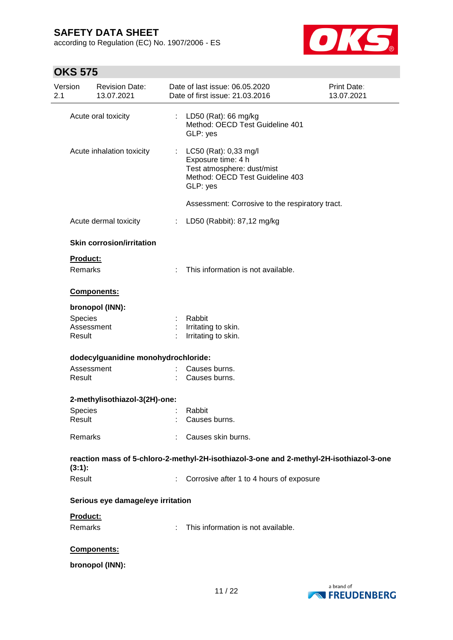according to Regulation (EC) No. 1907/2006 - ES



# **OKS 575**

| Version<br>2.1    | <b>Revision Date:</b><br>13.07.2021 |    | Date of last issue: 06.05.2020<br>Date of first issue: 21.03.2016                                                            | Print Date:<br>13.07.2021 |
|-------------------|-------------------------------------|----|------------------------------------------------------------------------------------------------------------------------------|---------------------------|
|                   | Acute oral toxicity                 |    | LD50 (Rat): 66 mg/kg<br>Method: OECD Test Guideline 401<br>GLP: yes                                                          |                           |
|                   | Acute inhalation toxicity           |    | : $LC50$ (Rat): 0,33 mg/l<br>Exposure time: 4 h<br>Test atmosphere: dust/mist<br>Method: OECD Test Guideline 403<br>GLP: yes |                           |
|                   |                                     |    | Assessment: Corrosive to the respiratory tract.                                                                              |                           |
|                   | Acute dermal toxicity               | ÷. | LD50 (Rabbit): 87,12 mg/kg                                                                                                   |                           |
|                   | <b>Skin corrosion/irritation</b>    |    |                                                                                                                              |                           |
| Product:          |                                     |    |                                                                                                                              |                           |
| <b>Remarks</b>    |                                     | ÷  | This information is not available.                                                                                           |                           |
|                   | Components:                         |    |                                                                                                                              |                           |
|                   | bronopol (INN):                     |    |                                                                                                                              |                           |
| <b>Species</b>    |                                     |    | Rabbit                                                                                                                       |                           |
| Result            | Assessment                          |    | Irritating to skin.<br>Irritating to skin.                                                                                   |                           |
|                   | dodecylguanidine monohydrochloride: |    |                                                                                                                              |                           |
| Result            | Assessment                          |    | Causes burns.<br>Causes burns.                                                                                               |                           |
|                   |                                     |    |                                                                                                                              |                           |
|                   | 2-methylisothiazol-3(2H)-one:       |    |                                                                                                                              |                           |
| Species<br>Result |                                     |    | Rabbit<br>Causes burns.                                                                                                      |                           |
| Remarks           |                                     |    | Causes skin burns.                                                                                                           |                           |
|                   |                                     |    | reaction mass of 5-chloro-2-methyl-2H-isothiazol-3-one and 2-methyl-2H-isothiazol-3-one                                      |                           |
| $(3:1)$ :         |                                     |    |                                                                                                                              |                           |
| Result            |                                     |    | : Corrosive after 1 to 4 hours of exposure                                                                                   |                           |
|                   | Serious eye damage/eye irritation   |    |                                                                                                                              |                           |
| Product:          |                                     |    |                                                                                                                              |                           |
| Remarks           |                                     |    | This information is not available.                                                                                           |                           |
|                   | Components:                         |    |                                                                                                                              |                           |
|                   | bronopol (INN):                     |    |                                                                                                                              |                           |

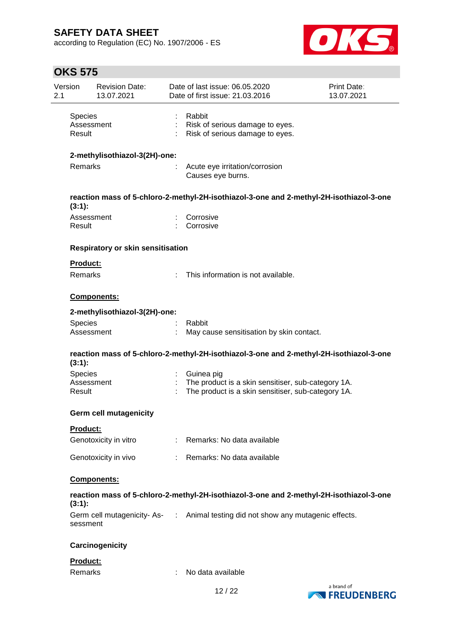according to Regulation (EC) No. 1907/2006 - ES



# **OKS 575**

| Version<br>2.1           | <b>Revision Date:</b><br>13.07.2021 | Date of last issue: 06.05.2020<br>Date of first issue: 21.03.2016                                        | Print Date:<br>13.07.2021         |
|--------------------------|-------------------------------------|----------------------------------------------------------------------------------------------------------|-----------------------------------|
| <b>Species</b><br>Result | Assessment                          | Rabbit<br>Risk of serious damage to eyes.<br>Risk of serious damage to eyes.                             |                                   |
|                          | 2-methylisothiazol-3(2H)-one:       |                                                                                                          |                                   |
| <b>Remarks</b>           |                                     | Acute eye irritation/corrosion<br>Causes eye burns.                                                      |                                   |
| $(3:1)$ :                |                                     | reaction mass of 5-chloro-2-methyl-2H-isothiazol-3-one and 2-methyl-2H-isothiazol-3-one                  |                                   |
| Result                   | Assessment                          | Corrosive<br>Corrosive                                                                                   |                                   |
|                          | Respiratory or skin sensitisation   |                                                                                                          |                                   |
| <b>Product:</b>          |                                     |                                                                                                          |                                   |
| <b>Remarks</b>           |                                     | This information is not available.                                                                       |                                   |
|                          | Components:                         |                                                                                                          |                                   |
|                          | 2-methylisothiazol-3(2H)-one:       |                                                                                                          |                                   |
| <b>Species</b>           | Assessment                          | Rabbit<br>May cause sensitisation by skin contact.                                                       |                                   |
| (3:1):                   |                                     | reaction mass of 5-chloro-2-methyl-2H-isothiazol-3-one and 2-methyl-2H-isothiazol-3-one                  |                                   |
| <b>Species</b>           |                                     | Guinea pig                                                                                               |                                   |
| Result                   | Assessment                          | The product is a skin sensitiser, sub-category 1A.<br>The product is a skin sensitiser, sub-category 1A. |                                   |
|                          | <b>Germ cell mutagenicity</b>       |                                                                                                          |                                   |
| Product:                 |                                     |                                                                                                          |                                   |
|                          | Genotoxicity in vitro               | : Remarks: No data available                                                                             |                                   |
|                          | Genotoxicity in vivo                | Remarks: No data available                                                                               |                                   |
|                          | Components:                         |                                                                                                          |                                   |
| (3:1):                   |                                     | reaction mass of 5-chloro-2-methyl-2H-isothiazol-3-one and 2-methyl-2H-isothiazol-3-one                  |                                   |
| sessment                 |                                     | Germ cell mutagenicity-As- : Animal testing did not show any mutagenic effects.                          |                                   |
|                          | Carcinogenicity                     |                                                                                                          |                                   |
| Product:                 |                                     |                                                                                                          |                                   |
| <b>Remarks</b>           |                                     | No data available                                                                                        |                                   |
|                          |                                     | 12/22                                                                                                    | a brand of<br><b>NEREUDENBERG</b> |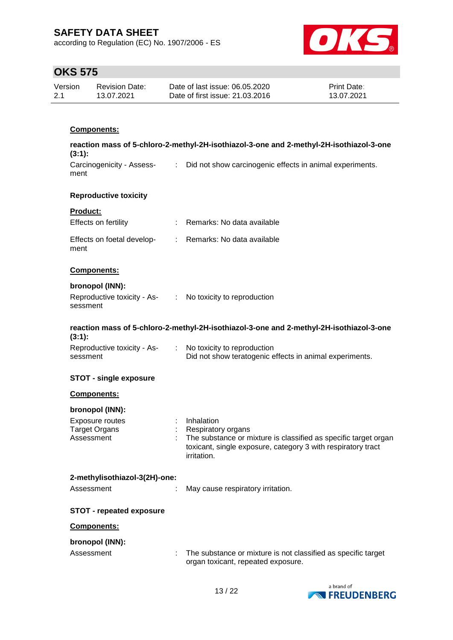according to Regulation (EC) No. 1907/2006 - ES



## **OKS 575**

| Version | <b>Revision Date:</b> | Date of last issue: 06.05.2020  | <b>Print Date:</b> |
|---------|-----------------------|---------------------------------|--------------------|
| 2.1     | 13.07.2021            | Date of first issue: 21.03.2016 | 13.07.2021         |

## **Components:**

| reaction mass of 5-chloro-2-methyl-2H-isothiazol-3-one and 2-methyl-2H-isothiazol-3-one<br>(3:1): |  |                                                                                                                                                                      |  |  |
|---------------------------------------------------------------------------------------------------|--|----------------------------------------------------------------------------------------------------------------------------------------------------------------------|--|--|
| Carcinogenicity - Assess-<br>ment                                                                 |  | : Did not show carcinogenic effects in animal experiments.                                                                                                           |  |  |
| <b>Reproductive toxicity</b>                                                                      |  |                                                                                                                                                                      |  |  |
| Product:                                                                                          |  |                                                                                                                                                                      |  |  |
| Effects on fertility                                                                              |  | : Remarks: No data available                                                                                                                                         |  |  |
| Effects on foetal develop-<br>ment                                                                |  | : Remarks: No data available                                                                                                                                         |  |  |
| Components:                                                                                       |  |                                                                                                                                                                      |  |  |
| bronopol (INN):                                                                                   |  |                                                                                                                                                                      |  |  |
| Reproductive toxicity - As- : No toxicity to reproduction<br>sessment                             |  |                                                                                                                                                                      |  |  |
| (3:1):                                                                                            |  | reaction mass of 5-chloro-2-methyl-2H-isothiazol-3-one and 2-methyl-2H-isothiazol-3-one                                                                              |  |  |
| Reproductive toxicity - As-<br>sessment                                                           |  | : No toxicity to reproduction<br>Did not show teratogenic effects in animal experiments.                                                                             |  |  |
| <b>STOT - single exposure</b>                                                                     |  |                                                                                                                                                                      |  |  |
| Components:                                                                                       |  |                                                                                                                                                                      |  |  |
| bronopol (INN):                                                                                   |  |                                                                                                                                                                      |  |  |
| Exposure routes                                                                                   |  | : Inhalation                                                                                                                                                         |  |  |
| <b>Target Organs</b><br>Assessment                                                                |  | Respiratory organs<br>The substance or mixture is classified as specific target organ<br>toxicant, single exposure, category 3 with respiratory tract<br>irritation. |  |  |
| 2-methylisothiazol-3(2H)-one:                                                                     |  |                                                                                                                                                                      |  |  |
| Assessment                                                                                        |  | May cause respiratory irritation.                                                                                                                                    |  |  |
| <b>STOT - repeated exposure</b>                                                                   |  |                                                                                                                                                                      |  |  |
| Components:                                                                                       |  |                                                                                                                                                                      |  |  |
| bronopol (INN):                                                                                   |  |                                                                                                                                                                      |  |  |
| Assessment                                                                                        |  | The substance or mixture is not classified as specific target<br>organ toxicant, repeated exposure.                                                                  |  |  |
|                                                                                                   |  |                                                                                                                                                                      |  |  |

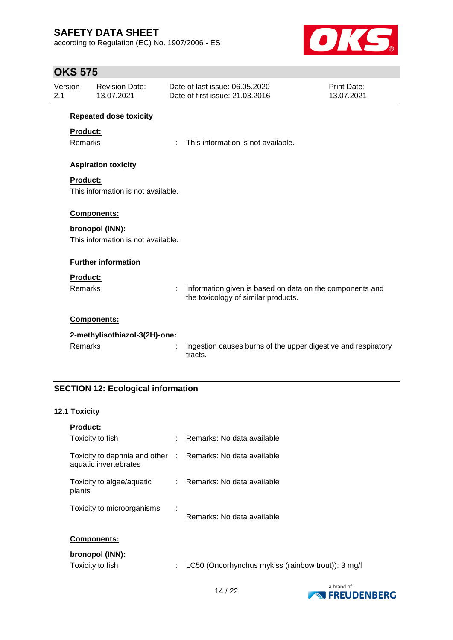according to Regulation (EC) No. 1907/2006 - ES



## **OKS 575**

| Version<br>2.1 | <b>Revision Date:</b><br>13.07.2021 | Date of last issue: 06.05.2020<br>Print Date:<br>Date of first issue: 21,03,2016<br>13.07.2021 |                                                                                                 |  |
|----------------|-------------------------------------|------------------------------------------------------------------------------------------------|-------------------------------------------------------------------------------------------------|--|
|                | <b>Repeated dose toxicity</b>       |                                                                                                |                                                                                                 |  |
|                | <b>Product:</b>                     |                                                                                                |                                                                                                 |  |
|                | Remarks                             |                                                                                                | This information is not available.                                                              |  |
|                | <b>Aspiration toxicity</b>          |                                                                                                |                                                                                                 |  |
|                | <b>Product:</b>                     |                                                                                                |                                                                                                 |  |
|                | This information is not available.  |                                                                                                |                                                                                                 |  |
|                | Components:                         |                                                                                                |                                                                                                 |  |
|                | bronopol (INN):                     |                                                                                                |                                                                                                 |  |
|                | This information is not available.  |                                                                                                |                                                                                                 |  |
|                | <b>Further information</b>          |                                                                                                |                                                                                                 |  |
|                | Product:                            |                                                                                                |                                                                                                 |  |
|                | Remarks                             |                                                                                                | Information given is based on data on the components and<br>the toxicology of similar products. |  |
|                | Components:                         |                                                                                                |                                                                                                 |  |
|                | 2-methylisothiazol-3(2H)-one:       |                                                                                                |                                                                                                 |  |
|                | Remarks                             | t                                                                                              | Ingestion causes burns of the upper digestive and respiratory<br>tracts.                        |  |

## **SECTION 12: Ecological information**

### **12.1 Toxicity**

| <b>Product:</b>                                                                     |   |                                                    |
|-------------------------------------------------------------------------------------|---|----------------------------------------------------|
| Toxicity to fish                                                                    |   | Remarks: No data available                         |
| Toxicity to daphnia and other : Remarks: No data available<br>aquatic invertebrates |   |                                                    |
| Toxicity to algae/aquatic<br>plants                                                 |   | : Remarks: No data available                       |
| Toxicity to microorganisms                                                          | ÷ | Remarks: No data available                         |
| <b>Components:</b>                                                                  |   |                                                    |
| bronopol (INN):<br>Toxicity to fish                                                 | ÷ | LC50 (Oncorhynchus mykiss (rainbow trout)): 3 mg/l |
|                                                                                     |   |                                                    |

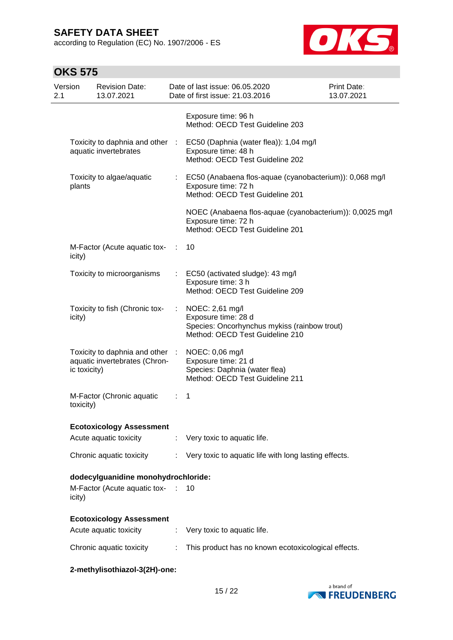according to Regulation (EC) No. 1907/2006 - ES



# **OKS 575**

| Version<br>2.1 |              | <b>Revision Date:</b><br>13.07.2021                              |    | Date of last issue: 06.05.2020<br>Date of first issue: 21.03.2016                                                         | Print Date:<br>13.07.2021 |
|----------------|--------------|------------------------------------------------------------------|----|---------------------------------------------------------------------------------------------------------------------------|---------------------------|
|                |              |                                                                  |    | Exposure time: 96 h<br>Method: OECD Test Guideline 203                                                                    |                           |
|                |              | Toxicity to daphnia and other :<br>aquatic invertebrates         |    | EC50 (Daphnia (water flea)): 1,04 mg/l<br>Exposure time: 48 h<br>Method: OECD Test Guideline 202                          |                           |
|                | plants       | Toxicity to algae/aquatic                                        |    | EC50 (Anabaena flos-aquae (cyanobacterium)): 0,068 mg/l<br>Exposure time: 72 h<br>Method: OECD Test Guideline 201         |                           |
|                |              |                                                                  |    | NOEC (Anabaena flos-aquae (cyanobacterium)): 0,0025 mg/l<br>Exposure time: 72 h<br>Method: OECD Test Guideline 201        |                           |
|                | icity)       | M-Factor (Acute aquatic tox-                                     | ÷  | 10                                                                                                                        |                           |
|                |              | Toxicity to microorganisms                                       |    | EC50 (activated sludge): 43 mg/l<br>Exposure time: 3 h<br>Method: OECD Test Guideline 209                                 |                           |
|                | icity)       | Toxicity to fish (Chronic tox-                                   | ÷. | NOEC: 2,61 mg/l<br>Exposure time: 28 d<br>Species: Oncorhynchus mykiss (rainbow trout)<br>Method: OECD Test Guideline 210 |                           |
|                | ic toxicity) | Toxicity to daphnia and other :<br>aquatic invertebrates (Chron- |    | NOEC: 0,06 mg/l<br>Exposure time: 21 d<br>Species: Daphnia (water flea)<br>Method: OECD Test Guideline 211                |                           |
|                | toxicity)    | M-Factor (Chronic aquatic                                        |    | 1                                                                                                                         |                           |
|                |              | <b>Ecotoxicology Assessment</b>                                  |    |                                                                                                                           |                           |
|                |              | Acute aquatic toxicity                                           |    | : Very toxic to aquatic life.                                                                                             |                           |
|                |              | Chronic aquatic toxicity                                         |    | Very toxic to aquatic life with long lasting effects.                                                                     |                           |
|                |              | dodecylguanidine monohydrochloride:                              |    |                                                                                                                           |                           |
|                | icity)       | M-Factor (Acute aquatic tox- : 10                                |    |                                                                                                                           |                           |
|                |              | <b>Ecotoxicology Assessment</b>                                  |    |                                                                                                                           |                           |
|                |              | Acute aquatic toxicity                                           | ÷. | Very toxic to aquatic life.                                                                                               |                           |
|                |              | Chronic aquatic toxicity                                         |    | This product has no known ecotoxicological effects.                                                                       |                           |

**2-methylisothiazol-3(2H)-one:**

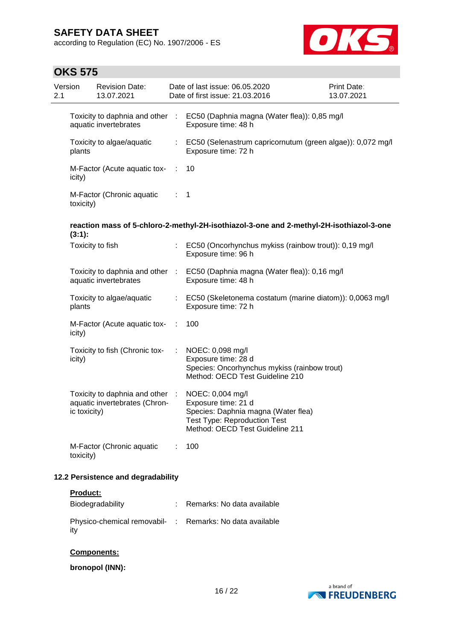according to Regulation (EC) No. 1907/2006 - ES



# **OKS 575**

| 2.1 | Version      | <b>Revision Date:</b><br>13.07.2021                              |                           | Date of last issue: 06.05.2020<br>Date of first issue: 21.03.2016                                                                                        | Print Date:<br>13.07.2021 |
|-----|--------------|------------------------------------------------------------------|---------------------------|----------------------------------------------------------------------------------------------------------------------------------------------------------|---------------------------|
|     |              | aquatic invertebrates                                            |                           | Toxicity to daphnia and other : EC50 (Daphnia magna (Water flea)): 0,85 mg/l<br>Exposure time: 48 h                                                      |                           |
|     | plants       | Toxicity to algae/aquatic                                        |                           | : EC50 (Selenastrum capricornutum (green algae)): 0,072 mg/l<br>Exposure time: 72 h                                                                      |                           |
|     | icity)       | M-Factor (Acute aquatic tox- :                                   |                           | 10                                                                                                                                                       |                           |
|     | toxicity)    | M-Factor (Chronic aquatic                                        | $\mathbb{R}^{\mathbb{Z}}$ | -1                                                                                                                                                       |                           |
|     | $(3:1)$ :    |                                                                  |                           | reaction mass of 5-chloro-2-methyl-2H-isothiazol-3-one and 2-methyl-2H-isothiazol-3-one                                                                  |                           |
|     |              | Toxicity to fish                                                 |                           | : EC50 (Oncorhynchus mykiss (rainbow trout)): 0,19 mg/l<br>Exposure time: 96 h                                                                           |                           |
|     |              | aquatic invertebrates                                            |                           | Toxicity to daphnia and other : EC50 (Daphnia magna (Water flea)): 0,16 mg/l<br>Exposure time: 48 h                                                      |                           |
|     | plants       | Toxicity to algae/aquatic                                        |                           | : EC50 (Skeletonema costatum (marine diatom)): 0,0063 mg/l<br>Exposure time: 72 h                                                                        |                           |
|     | icity)       | M-Factor (Acute aquatic tox-                                     | ÷                         | 100                                                                                                                                                      |                           |
|     | icity)       | Toxicity to fish (Chronic tox-                                   |                           | NOEC: 0,098 mg/l<br>Exposure time: 28 d<br>Species: Oncorhynchus mykiss (rainbow trout)<br>Method: OECD Test Guideline 210                               |                           |
|     | ic toxicity) | Toxicity to daphnia and other :<br>aquatic invertebrates (Chron- |                           | NOEC: 0,004 mg/l<br>Exposure time: 21 d<br>Species: Daphnia magna (Water flea)<br><b>Test Type: Reproduction Test</b><br>Method: OECD Test Guideline 211 |                           |
|     | toxicity)    | M-Factor (Chronic aquatic                                        |                           | 100                                                                                                                                                      |                           |
|     |              | 12.2 Persistence and degradability                               |                           |                                                                                                                                                          |                           |

**Product:**

| Biodegradability                                                | Remarks: No data available |
|-----------------------------------------------------------------|----------------------------|
| Physico-chemical removabil- : Remarks: No data available<br>itv |                            |

### **Components:**

**bronopol (INN):**

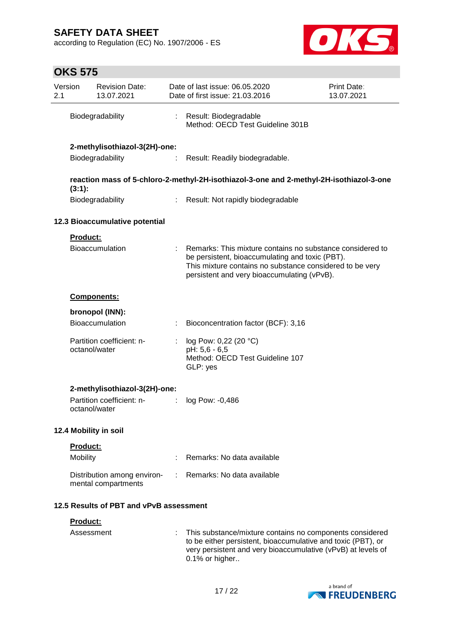according to Regulation (EC) No. 1907/2006 - ES



# **OKS 575**

| Version<br>2.1 |                 | <b>Revision Date:</b><br>13.07.2021                |   | Date of last issue: 06.05.2020<br>Date of first issue: 21.03.2016                                                                                                                                                       | Print Date:<br>13.07.2021 |
|----------------|-----------------|----------------------------------------------------|---|-------------------------------------------------------------------------------------------------------------------------------------------------------------------------------------------------------------------------|---------------------------|
|                |                 | Biodegradability                                   |   | Result: Biodegradable<br>Method: OECD Test Guideline 301B                                                                                                                                                               |                           |
|                |                 | 2-methylisothiazol-3(2H)-one:                      |   |                                                                                                                                                                                                                         |                           |
|                |                 | Biodegradability                                   |   | Result: Readily biodegradable.                                                                                                                                                                                          |                           |
|                |                 |                                                    |   | reaction mass of 5-chloro-2-methyl-2H-isothiazol-3-one and 2-methyl-2H-isothiazol-3-one                                                                                                                                 |                           |
|                | $(3:1)$ :       | Biodegradability                                   |   | : Result: Not rapidly biodegradable                                                                                                                                                                                     |                           |
|                |                 | 12.3 Bioaccumulative potential                     |   |                                                                                                                                                                                                                         |                           |
|                | Product:        |                                                    |   |                                                                                                                                                                                                                         |                           |
|                |                 | Bioaccumulation                                    |   | Remarks: This mixture contains no substance considered to<br>be persistent, bioaccumulating and toxic (PBT).<br>This mixture contains no substance considered to be very<br>persistent and very bioaccumulating (vPvB). |                           |
|                |                 | <b>Components:</b>                                 |   |                                                                                                                                                                                                                         |                           |
|                |                 | bronopol (INN):                                    |   |                                                                                                                                                                                                                         |                           |
|                |                 | Bioaccumulation                                    | t | Bioconcentration factor (BCF): 3,16                                                                                                                                                                                     |                           |
|                |                 | Partition coefficient: n-<br>octanol/water         | ÷ | log Pow: 0,22 (20 °C)<br>pH: 5,6 - 6,5<br>Method: OECD Test Guideline 107<br>GLP: yes                                                                                                                                   |                           |
|                |                 | 2-methylisothiazol-3(2H)-one:                      |   |                                                                                                                                                                                                                         |                           |
|                |                 | Partition coefficient: n-<br>octanol/water         |   | log Pow: -0,486                                                                                                                                                                                                         |                           |
|                |                 | 12.4 Mobility in soil                              |   |                                                                                                                                                                                                                         |                           |
|                | <b>Product:</b> |                                                    |   |                                                                                                                                                                                                                         |                           |
|                | Mobility        |                                                    |   | Remarks: No data available                                                                                                                                                                                              |                           |
|                |                 | Distribution among environ-<br>mental compartments |   | Remarks: No data available                                                                                                                                                                                              |                           |
|                |                 | 12.5 Results of PBT and vPvB assessment            |   |                                                                                                                                                                                                                         |                           |
|                | Product:        |                                                    |   |                                                                                                                                                                                                                         |                           |
|                |                 | Assessment                                         |   | This substance/mixture contains no components considered<br>to be either persistent, bioaccumulative and toxic (PBT), or<br>very persistent and very bioaccumulative (vPvB) at levels of                                |                           |



0.1% or higher..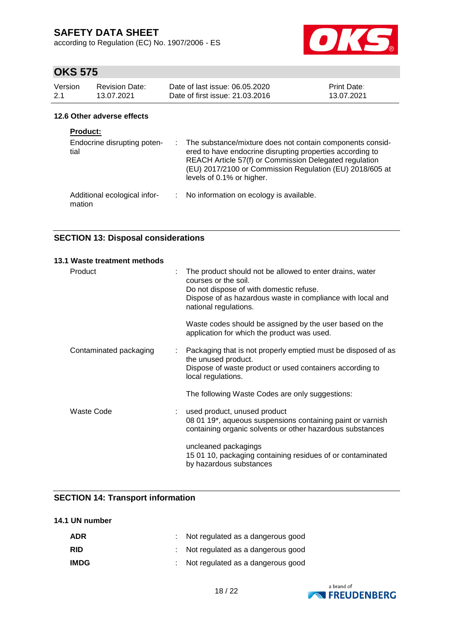according to Regulation (EC) No. 1907/2006 - ES



# **OKS 575**

| Version         | <b>Revision Date:</b>       | Date of last issue: 06.05.2020                                                                                                                                                                                                                 | Print Date: |
|-----------------|-----------------------------|------------------------------------------------------------------------------------------------------------------------------------------------------------------------------------------------------------------------------------------------|-------------|
| 2.1             | 13.07.2021                  | Date of first issue: 21.03.2016                                                                                                                                                                                                                | 13.07.2021  |
|                 | 12.6 Other adverse effects  |                                                                                                                                                                                                                                                |             |
| <b>Product:</b> |                             |                                                                                                                                                                                                                                                |             |
| tial            | Endocrine disrupting poten- | : The substance/mixture does not contain components consid-<br>ered to have endocrine disrupting properties according to<br>REACH Article 57(f) or Commission Delegated regulation<br>(EU) 2017/2100 or Commission Regulation (EU) 2018/605 at |             |

levels of 0.1% or higher.

Additional ecological infor-: No information on ecology is available. mation

## **SECTION 13: Disposal considerations**

| 13.1 Waste treatment methods |    |                                                                                                                                                                                                                    |
|------------------------------|----|--------------------------------------------------------------------------------------------------------------------------------------------------------------------------------------------------------------------|
| Product                      | ÷  | The product should not be allowed to enter drains, water<br>courses or the soil.<br>Do not dispose of with domestic refuse.<br>Dispose of as hazardous waste in compliance with local and<br>national regulations. |
|                              |    | Waste codes should be assigned by the user based on the<br>application for which the product was used.                                                                                                             |
| Contaminated packaging       | ÷. | Packaging that is not properly emptied must be disposed of as<br>the unused product.<br>Dispose of waste product or used containers according to<br>local regulations.                                             |
|                              |    | The following Waste Codes are only suggestions:                                                                                                                                                                    |
| Waste Code                   |    | used product, unused product<br>08 01 19*, aqueous suspensions containing paint or varnish<br>containing organic solvents or other hazardous substances                                                            |
|                              |    | uncleaned packagings<br>15 01 10, packaging containing residues of or contaminated<br>by hazardous substances                                                                                                      |

### **SECTION 14: Transport information**

### **14.1 UN number**

| <b>ADR</b>  | Not regulated as a dangerous good   |
|-------------|-------------------------------------|
| <b>RID</b>  | : Not regulated as a dangerous good |
| <b>IMDG</b> | Not regulated as a dangerous good   |

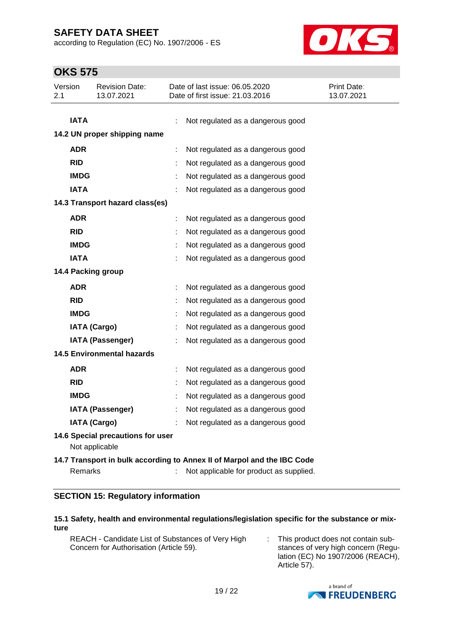according to Regulation (EC) No. 1907/2006 - ES



# **OKS 575**

| Version<br>2.1 |             | <b>Revision Date:</b><br>13.07.2021 | Date of last issue: 06.05.2020<br>Date of first issue: 21.03.2016       | Print Date:<br>13.07.2021 |
|----------------|-------------|-------------------------------------|-------------------------------------------------------------------------|---------------------------|
|                |             |                                     |                                                                         |                           |
|                | <b>IATA</b> |                                     | Not regulated as a dangerous good                                       |                           |
|                |             | 14.2 UN proper shipping name        |                                                                         |                           |
|                | <b>ADR</b>  |                                     | Not regulated as a dangerous good                                       |                           |
|                | <b>RID</b>  |                                     | Not regulated as a dangerous good                                       |                           |
|                | <b>IMDG</b> |                                     | Not regulated as a dangerous good                                       |                           |
|                | <b>IATA</b> |                                     | Not regulated as a dangerous good                                       |                           |
|                |             | 14.3 Transport hazard class(es)     |                                                                         |                           |
|                | <b>ADR</b>  |                                     | Not regulated as a dangerous good                                       |                           |
|                | <b>RID</b>  |                                     | Not regulated as a dangerous good                                       |                           |
|                | <b>IMDG</b> |                                     | Not regulated as a dangerous good                                       |                           |
|                | <b>IATA</b> |                                     | Not regulated as a dangerous good                                       |                           |
|                |             | 14.4 Packing group                  |                                                                         |                           |
|                | <b>ADR</b>  |                                     | Not regulated as a dangerous good                                       |                           |
|                | <b>RID</b>  |                                     | Not regulated as a dangerous good                                       |                           |
|                | <b>IMDG</b> |                                     | Not regulated as a dangerous good                                       |                           |
|                |             | <b>IATA (Cargo)</b>                 | Not regulated as a dangerous good                                       |                           |
|                |             | <b>IATA (Passenger)</b>             | Not regulated as a dangerous good                                       |                           |
|                |             | <b>14.5 Environmental hazards</b>   |                                                                         |                           |
|                | <b>ADR</b>  |                                     | Not regulated as a dangerous good                                       |                           |
|                | <b>RID</b>  |                                     | Not regulated as a dangerous good                                       |                           |
|                | <b>IMDG</b> |                                     | Not regulated as a dangerous good                                       |                           |
|                |             | <b>IATA (Passenger)</b>             | Not regulated as a dangerous good                                       |                           |
|                |             | <b>IATA (Cargo)</b>                 | Not regulated as a dangerous good                                       |                           |
|                |             | 14.6 Special precautions for user   |                                                                         |                           |
|                |             | Not applicable                      |                                                                         |                           |
|                |             |                                     | 14.7 Transport in bulk according to Annex II of Marpol and the IBC Code |                           |
|                | Remarks     |                                     | Not applicable for product as supplied.                                 |                           |

### **SECTION 15: Regulatory information**

#### **15.1 Safety, health and environmental regulations/legislation specific for the substance or mixture**

| REACH - Candidate List of Substances of Very High | This product does not contain sub-  |
|---------------------------------------------------|-------------------------------------|
| Concern for Authorisation (Article 59).           | stances of very high concern (Regu- |
|                                                   | lation (EC) No 1907/2006 (REACH),   |



Article 57).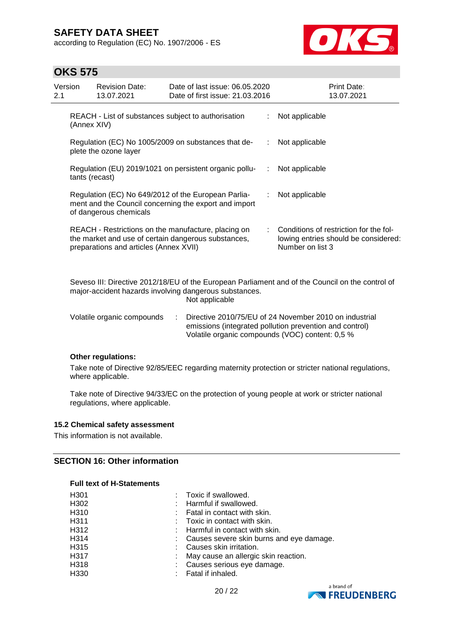according to Regulation (EC) No. 1907/2006 - ES



## **OKS 575**

| Version<br>2.1 |                                                                                                                                        | <b>Revision Date:</b><br>13.07.2021                                                                                                                  | Date of last issue: 06.05.2020<br>Date of first issue: 21.03.2016 |  |   | <b>Print Date:</b><br>13.07.2021                                                                                                                                     |
|----------------|----------------------------------------------------------------------------------------------------------------------------------------|------------------------------------------------------------------------------------------------------------------------------------------------------|-------------------------------------------------------------------|--|---|----------------------------------------------------------------------------------------------------------------------------------------------------------------------|
|                | (Annex XIV)                                                                                                                            | REACH - List of substances subject to authorisation                                                                                                  |                                                                   |  |   | Not applicable                                                                                                                                                       |
|                |                                                                                                                                        | Regulation (EC) No 1005/2009 on substances that de-<br>plete the ozone layer                                                                         |                                                                   |  |   | Not applicable                                                                                                                                                       |
|                | tants (recast)                                                                                                                         | Regulation (EU) 2019/1021 on persistent organic pollu-                                                                                               |                                                                   |  | ÷ | Not applicable                                                                                                                                                       |
|                | Regulation (EC) No 649/2012 of the European Parlia-<br>ment and the Council concerning the export and import<br>of dangerous chemicals |                                                                                                                                                      |                                                                   |  |   | Not applicable                                                                                                                                                       |
|                |                                                                                                                                        | REACH - Restrictions on the manufacture, placing on<br>the market and use of certain dangerous substances,<br>preparations and articles (Annex XVII) |                                                                   |  |   | Conditions of restriction for the fol-<br>lowing entries should be considered:<br>Number on list 3                                                                   |
|                |                                                                                                                                        | major-accident hazards involving dangerous substances.                                                                                               | Not applicable                                                    |  |   | Seveso III: Directive 2012/18/EU of the European Parliament and of the Council on the control of                                                                     |
|                |                                                                                                                                        | Volatile organic compounds                                                                                                                           | ÷                                                                 |  |   | Directive 2010/75/EU of 24 November 2010 on industrial<br>emissions (integrated pollution prevention and control)<br>Volatile organic compounds (VOC) content: 0,5 % |

### **Other regulations:**

Take note of Directive 92/85/EEC regarding maternity protection or stricter national regulations, where applicable.

Take note of Directive 94/33/EC on the protection of young people at work or stricter national regulations, where applicable.

#### **15.2 Chemical safety assessment**

This information is not available.

### **SECTION 16: Other information**

#### **Full text of H-Statements**

| H301              | : Toxic if swallowed.                      |
|-------------------|--------------------------------------------|
| H302              | : Harmful if swallowed.                    |
| H310              | : Fatal in contact with skin.              |
| H <sub>3</sub> 11 | $\therefore$ Toxic in contact with skin.   |
| H312              | $\therefore$ Harmful in contact with skin. |
| H314              | : Causes severe skin burns and eye damage. |
| H315              | : Causes skin irritation.                  |
| H317              | : May cause an allergic skin reaction.     |
| H318              | : Causes serious eye damage.               |
| H330              | : Fatal if inhaled.                        |

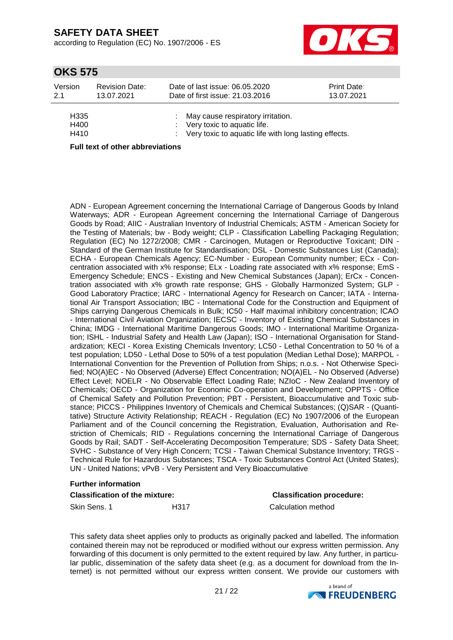according to Regulation (EC) No. 1907/2006 - ES



## **OKS 575**

| Version                          | <b>Revision Date:</b> | Date of last issue: 06.05.2020                                                                                                  | Print Date: |
|----------------------------------|-----------------------|---------------------------------------------------------------------------------------------------------------------------------|-------------|
| 2.1                              | 13.07.2021            | Date of first issue: 21.03.2016                                                                                                 | 13.07.2021  |
| H <sub>335</sub><br>H400<br>H410 |                       | : May cause respiratory irritation.<br>: Very toxic to aquatic life.<br>: Very toxic to aquatic life with long lasting effects. |             |

**Full text of other abbreviations**

ADN - European Agreement concerning the International Carriage of Dangerous Goods by Inland Waterways; ADR - European Agreement concerning the International Carriage of Dangerous Goods by Road; AIIC - Australian Inventory of Industrial Chemicals; ASTM - American Society for the Testing of Materials; bw - Body weight; CLP - Classification Labelling Packaging Regulation; Regulation (EC) No 1272/2008; CMR - Carcinogen, Mutagen or Reproductive Toxicant; DIN - Standard of the German Institute for Standardisation; DSL - Domestic Substances List (Canada); ECHA - European Chemicals Agency; EC-Number - European Community number; ECx - Concentration associated with x% response; ELx - Loading rate associated with x% response; EmS - Emergency Schedule; ENCS - Existing and New Chemical Substances (Japan); ErCx - Concentration associated with x% growth rate response; GHS - Globally Harmonized System; GLP - Good Laboratory Practice; IARC - International Agency for Research on Cancer; IATA - International Air Transport Association; IBC - International Code for the Construction and Equipment of Ships carrying Dangerous Chemicals in Bulk; IC50 - Half maximal inhibitory concentration; ICAO - International Civil Aviation Organization; IECSC - Inventory of Existing Chemical Substances in China; IMDG - International Maritime Dangerous Goods; IMO - International Maritime Organization; ISHL - Industrial Safety and Health Law (Japan); ISO - International Organisation for Standardization; KECI - Korea Existing Chemicals Inventory; LC50 - Lethal Concentration to 50 % of a test population; LD50 - Lethal Dose to 50% of a test population (Median Lethal Dose); MARPOL - International Convention for the Prevention of Pollution from Ships; n.o.s. - Not Otherwise Specified; NO(A)EC - No Observed (Adverse) Effect Concentration; NO(A)EL - No Observed (Adverse) Effect Level; NOELR - No Observable Effect Loading Rate; NZIoC - New Zealand Inventory of Chemicals; OECD - Organization for Economic Co-operation and Development; OPPTS - Office of Chemical Safety and Pollution Prevention; PBT - Persistent, Bioaccumulative and Toxic substance; PICCS - Philippines Inventory of Chemicals and Chemical Substances; (Q)SAR - (Quantitative) Structure Activity Relationship; REACH - Regulation (EC) No 1907/2006 of the European Parliament and of the Council concerning the Registration, Evaluation, Authorisation and Restriction of Chemicals; RID - Regulations concerning the International Carriage of Dangerous Goods by Rail; SADT - Self-Accelerating Decomposition Temperature; SDS - Safety Data Sheet; SVHC - Substance of Very High Concern; TCSI - Taiwan Chemical Substance Inventory; TRGS - Technical Rule for Hazardous Substances; TSCA - Toxic Substances Control Act (United States); UN - United Nations; vPvB - Very Persistent and Very Bioaccumulative

#### **Further information**

| <b>Classification of the mixture:</b> |      | <b>Classification procedure:</b> |  |  |
|---------------------------------------|------|----------------------------------|--|--|
| Skin Sens, 1                          | H317 | Calculation method               |  |  |

This safety data sheet applies only to products as originally packed and labelled. The information contained therein may not be reproduced or modified without our express written permission. Any forwarding of this document is only permitted to the extent required by law. Any further, in particular public, dissemination of the safety data sheet (e.g. as a document for download from the Internet) is not permitted without our express written consent. We provide our customers with